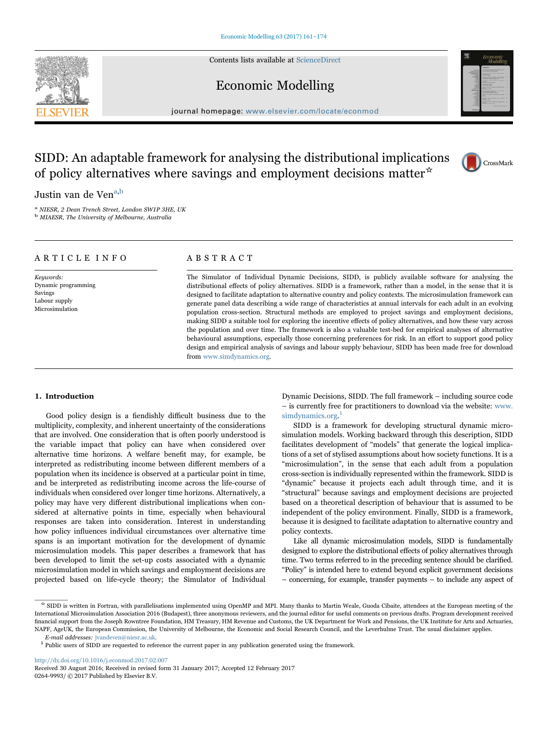Contents lists available at [ScienceDirect](http://www.sciencedirect.com/science/journal/02649993)







journal homepage: [www.elsevier.com/locate/econmod](http://www.elsevier.com/locate/econmod)

# SIDD: An adaptable framework for analysing the distributional implications of policy alternatives where savings and employment decisions matter☆



# Justin van de Ven<sup>[a,](#page-0-0)[b](#page-0-1)</sup>

<span id="page-0-0"></span><sup>a</sup> NIESR, 2 Dean Trench Street, London SW1P 3HE, UK

<span id="page-0-1"></span>b MIAESR, The University of Melbourne, Australia

# ARTICLE INFO

Keywords: Dynamic programming Savings Labour supply Microsimulation

# ABSTRACT

The Simulator of Individual Dynamic Decisions, SIDD, is publicly available software for analysing the distributional effects of policy alternatives. SIDD is a framework, rather than a model, in the sense that it is designed to facilitate adaptation to alternative country and policy contexts. The microsimulation framework can generate panel data describing a wide range of characteristics at annual intervals for each adult in an evolving population cross-section. Structural methods are employed to project savings and employment decisions, making SIDD a suitable tool for exploring the incentive effects of policy alternatives, and how these vary across the population and over time. The framework is also a valuable test-bed for empirical analyses of alternative behavioural assumptions, especially those concerning preferences for risk. In an effort to support good policy design and empirical analysis of savings and labour supply behaviour, SIDD has been made free for download from [www.simdynamics.org.](http://www.simdynamics.org)

#### 1. Introduction

Good policy design is a fiendishly difficult business due to the multiplicity, complexity, and inherent uncertainty of the considerations that are involved. One consideration that is often poorly understood is the variable impact that policy can have when considered over alternative time horizons. A welfare benefit may, for example, be interpreted as redistributing income between different members of a population when its incidence is observed at a particular point in time, and be interpreted as redistributing income across the life-course of individuals when considered over longer time horizons. Alternatively, a policy may have very different distributional implications when considered at alternative points in time, especially when behavioural responses are taken into consideration. Interest in understanding how policy influences individual circumstances over alternative time spans is an important motivation for the development of dynamic microsimulation models. This paper describes a framework that has been developed to limit the set-up costs associated with a dynamic microsimulation model in which savings and employment decisions are projected based on life-cycle theory; the Simulator of Individual

Dynamic Decisions, SIDD. The full framework – including source code – is currently free for practitioners to download via the website: [www.](http://www.simdynamics.org) [simdynamics.org.](http://www.simdynamics.org)<sup>[1](#page-0-2)</sup>

SIDD is a framework for developing structural dynamic microsimulation models. Working backward through this description, SIDD facilitates development of "models" that generate the logical implications of a set of stylised assumptions about how society functions. It is a "microsimulation", in the sense that each adult from a population cross-section is individually represented within the framework. SIDD is "dynamic" because it projects each adult through time, and it is "structural" because savings and employment decisions are projected based on a theoretical description of behaviour that is assumed to be independent of the policy environment. Finally, SIDD is a framework, because it is designed to facilitate adaptation to alternative country and policy contexts.

Like all dynamic microsimulation models, SIDD is fundamentally designed to explore the distributional effects of policy alternatives through time. Two terms referred to in the preceding sentence should be clarified. "Policy" is intended here to extend beyond explicit government decisions – concerning, for example, transfer payments – to include any aspect of

<span id="page-0-2"></span>

<http://dx.doi.org/10.1016/j.econmod.2017.02.007>

Received 30 August 2016; Received in revised form 31 January 2017; Accepted 12 February 2017 0264-9993/ © 2017 Published by Elsevier B.V.

<sup>☆</sup> SIDD is written in Fortran, with parallelisations implemented using OpenMP and MPI. Many thanks to Martin Weale, Guoda Cibaite, attendees at the European meeting of the International Microsimulation Association 2016 (Budapest), three anonymous reviewers, and the journal editor for useful comments on previous drafts. Program development received financial support from the Joseph Rowntree Foundation, HM Treasury, HM Revenue and Customs, the UK Department for Work and Pensions, the UK Institute for Arts and Actuaries, NAPF, AgeUK, the European Commission, the University of Melbourne, the Economic and Social Research Council, and the Leverhulme Trust. The usual disclaimer applies.

 $E\!-\!mail$   $addresses:$  jvandeven@niesr.ac.uk. 1 Public users of SIDD are requested to reference the current paper in any publication generated using the framework.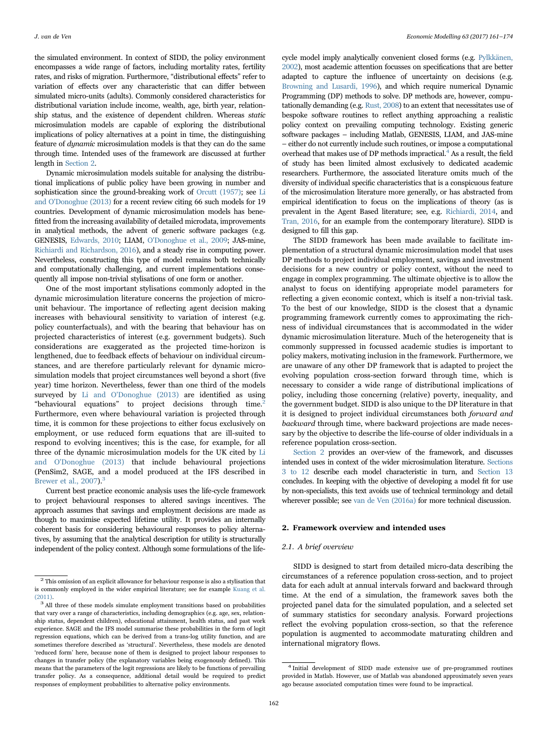the simulated environment. In context of SIDD, the policy environment encompasses a wide range of factors, including mortality rates, fertility rates, and risks of migration. Furthermore, "distributional effects" refer to variation of effects over any characteristic that can differ between simulated micro-units (adults). Commonly considered characteristics for distributional variation include income, wealth, age, birth year, relationship status, and the existence of dependent children. Whereas static microsimulation models are capable of exploring the distributional implications of policy alternatives at a point in time, the distinguishing feature of dynamic microsimulation models is that they can do the same through time. Intended uses of the framework are discussed at further length in [Section 2.](#page-1-0)

Dynamic microsimulation models suitable for analysing the distributional implications of public policy have been growing in number and sophistication since the ground-breaking work of [Orcutt \(1957\);](#page-13-0) see [Li](#page-13-1) [and O'Donoghue \(2013\)](#page-13-1) for a recent review citing 66 such models for 19 countries. Development of dynamic microsimulation models has benefitted from the increasing availability of detailed microdata, improvements in analytical methods, the advent of generic software packages (e.g. GENESIS, [Edwards, 2010](#page-13-2); LIAM, [O'Donoghue et al., 2009](#page-13-3); JAS-mine, [Richiardi and Richardson, 2016](#page-13-4)), and a steady rise in computing power. Nevertheless, constructing this type of model remains both technically and computationally challenging, and current implementations consequently all impose non-trivial stylisations of one form or another.

One of the most important stylisations commonly adopted in the dynamic microsimulation literature concerns the projection of microunit behaviour. The importance of reflecting agent decision making increases with behavioural sensitivity to variation of interest (e.g. policy counterfactuals), and with the bearing that behaviour has on projected characteristics of interest (e.g. government budgets). Such considerations are exaggerated as the projected time-horizon is lengthened, due to feedback effects of behaviour on individual circumstances, and are therefore particularly relevant for dynamic microsimulation models that project circumstances well beyond a short (five year) time horizon. Nevertheless, fewer than one third of the models surveyed by [Li and O'Donoghue \(2013\)](#page-13-1) are identified as using "behavioural equations" to project decisions through time.<sup>2</sup> Furthermore, even where behavioural variation is projected through time, it is common for these projections to either focus exclusively on employment, or use reduced form equations that are ill-suited to respond to evolving incentives; this is the case, for example, for all three of the dynamic microsimulation models for the UK cited by [Li](#page-13-1) [and O'Donoghue \(2013\)](#page-13-1) that include behavioural projections (PenSim2, SAGE, and a model produced at the IFS described in [Brewer et al., 2007](#page-13-5))[.3](#page-1-2)

Current best practice economic analysis uses the life-cycle framework to project behavioural responses to altered savings incentives. The approach assumes that savings and employment decisions are made as though to maximise expected lifetime utility. It provides an internally coherent basis for considering behavioural responses to policy alternatives, by assuming that the analytical description for utility is structurally independent of the policy context. Although some formulations of the life-

cycle model imply analytically convenient closed forms (e.g. [Pylkkänen,](#page-13-6) [2002\)](#page-13-6), most academic attention focusses on specifications that are better adapted to capture the influence of uncertainty on decisions (e.g. [Browning and Lusardi, 1996](#page-13-7)), and which require numerical Dynamic Programming (DP) methods to solve. DP methods are, however, computationally demanding (e.g. [Rust, 2008\)](#page-13-8) to an extent that necessitates use of bespoke software routines to reflect anything approaching a realistic policy context on prevailing computing technology. Existing generic software packages – including Matlab, GENESIS, LIAM, and JAS-mine – either do not currently include such routines, or impose a computational overhead that makes use of DP methods impractical.<sup>4</sup> [As a result, the](#page-1-3) field of study has been limited almost exclusively to dedicated academic researchers. Furthermore, the associated literature omits much of the diversity of individual specific characteristics that is a conspicuous feature of the microsimulation literature more generally, or has abstracted from empirical identification to focus on the implications of theory (as is prevalent in the Agent Based literature; see, e.g. [Richiardi, 2014,](#page-13-9) and [Tran, 2016](#page-13-10), for an example from the contemporary literature). SIDD is designed to fill this gap.

The SIDD framework has been made available to facilitate implementation of a structural dynamic microsimulation model that uses DP methods to project individual employment, savings and investment decisions for a new country or policy context, without the need to engage in complex programming. The ultimate objective is to allow the analyst to focus on identifying appropriate model parameters for reflecting a given economic context, which is itself a non-trivial task. To the best of our knowledge, SIDD is the closest that a dynamic programming framework currently comes to approximating the richness of individual circumstances that is accommodated in the wider dynamic microsimulation literature. Much of the heterogeneity that is commonly suppressed in focussed academic studies is important to policy makers, motivating inclusion in the framework. Furthermore, we are unaware of any other DP framework that is adapted to project the evolving population cross-section forward through time, which is necessary to consider a wide range of distributional implications of policy, including those concerning (relative) poverty, inequality, and the government budget. SIDD is also unique to the DP literature in that it is designed to project individual circumstances both forward and backward through time, where backward projections are made necessary by the objective to describe the life-course of older individuals in a reference population cross-section.

[Section 2](#page-1-0) provides an over-view of the framework, and discusses intended uses in context of the wider microsimulation literature. [Sections](#page-4-0) [3 to 12](#page-4-0) describe each model characteristic in turn, and [Section 13](#page-12-0) concludes. In keeping with the objective of developing a model fit for use by non-specialists, this text avoids use of technical terminology and detail wherever possible; see [van de Ven \(2016a\)](#page-13-11) for more technical discussion.

#### <span id="page-1-0"></span>2. Framework overview and intended uses

#### <span id="page-1-4"></span>2.1. A brief overview

SIDD is designed to start from detailed micro-data describing the circumstances of a reference population cross-section, and to project data for each adult at annual intervals forward and backward through time. At the end of a simulation, the framework saves both the projected panel data for the simulated population, and a selected set of summary statistics for secondary analysis. Forward projections reflect the evolving population cross-section, so that the reference population is augmented to accommodate maturating children and international migratory flows.

<span id="page-1-1"></span> $^2$  This omission of an explicit allowance for behaviour response is also a stylisation that is commonly employed in the wider empirical literature; see for example [Kuang et al.](#page-13-12) (2011).

<span id="page-1-2"></span> $3$  All three of these models simulate employment transitions based on probabilities that vary over a range of characteristics, including demographics (e.g. age, sex, relationship status, dependent children), educational attainment, health status, and past work experience. SAGE and the IFS model summarise these probabilities in the form of logit regression equations, which can be derived from a trans-log utility function, and are sometimes therefore described as 'structural'. Nevertheless, these models are denoted 'reduced form' here, because none of them is designed to project labour responses to changes in transfer policy (the explanatory variables being exogenously defined). This means that the parameters of the logit regressions are likely to be functions of prevailing transfer policy. As a consequence, additional detail would be required to predict responses of employment probabilities to alternative policy environments.

<span id="page-1-3"></span><sup>4</sup> Initial development of SIDD made extensive use of pre-programmed routines provided in Matlab. However, use of Matlab was abandoned approximately seven years ago because associated computation times were found to be impractical.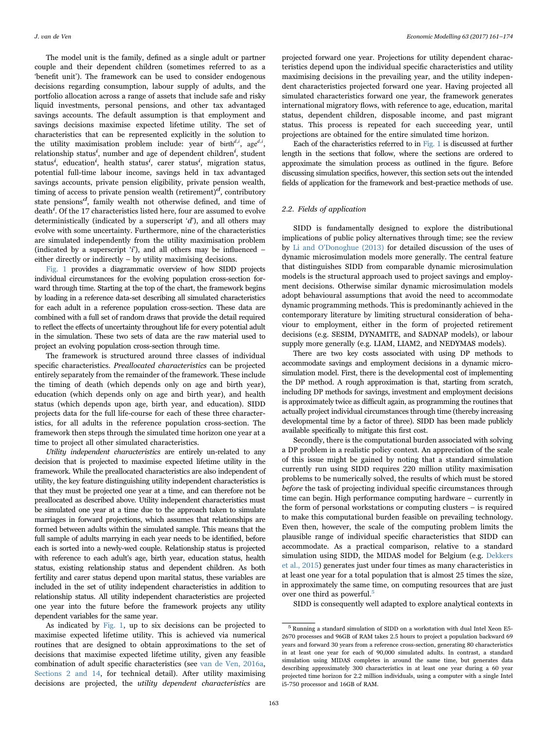The model unit is the family, defined as a single adult or partner couple and their dependent children (sometimes referred to as a 'benefit unit'). The framework can be used to consider endogenous decisions regarding consumption, labour supply of adults, and the portfolio allocation across a range of assets that include safe and risky liquid investments, personal pensions, and other tax advantaged savings accounts. The default assumption is that employment and savings decisions maximise expected lifetime utility. The set of characteristics that can be represented explicitly in the solution to the utility maximisation problem include: year of birth<sup>d,i</sup>, age<sup>d,i</sup>, relationship status<sup>i</sup>, number and age of dependent children<sup>i</sup>, student status<sup>*i*</sup>, education<sup>*i*</sup>, health status<sup>*i*</sup>, carer status<sup>*i*</sup>, migration status, potential full-time labour income, savings held in tax advantaged savings accounts, private pension eligibility, private pension wealth, timing of access to private pension wealth (retirement) $d$ , contributory state pensions<sup>d</sup>, family wealth not otherwise defined, and time of death<sup>i</sup>. Of the 17 characteristics listed here, four are assumed to evolve deterministically (indicated by a superscript 'd'), and all others may evolve with some uncertainty. Furthermore, nine of the characteristics are simulated independently from the utility maximisation problem (indicated by a superscript  $i'$ ), and all others may be influenced – either directly or indirectly – by utility maximising decisions.

[Fig. 1](#page-3-0) provides a diagrammatic overview of how SIDD projects individual circumstances for the evolving population cross-section forward through time. Starting at the top of the chart, the framework begins by loading in a reference data-set describing all simulated characteristics for each adult in a reference population cross-section. These data are combined with a full set of random draws that provide the detail required to reflect the effects of uncertainty throughout life for every potential adult in the simulation. These two sets of data are the raw material used to project an evolving population cross-section through time.

The framework is structured around three classes of individual specific characteristics. Preallocated characteristics can be projected entirely separately from the remainder of the framework. These include the timing of death (which depends only on age and birth year), education (which depends only on age and birth year), and health status (which depends upon age, birth year, and education). SIDD projects data for the full life-course for each of these three characteristics, for all adults in the reference population cross-section. The framework then steps through the simulated time horizon one year at a time to project all other simulated characteristics.

Utility independent characteristics are entirely un-related to any decision that is projected to maximise expected lifetime utility in the framework. While the preallocated characteristics are also independent of utility, the key feature distinguishing utility independent characteristics is that they must be projected one year at a time, and can therefore not be preallocated as described above. Utility independent characteristics must be simulated one year at a time due to the approach taken to simulate marriages in forward projections, which assumes that relationships are formed between adults within the simulated sample. This means that the full sample of adults marrying in each year needs to be identified, before each is sorted into a newly-wed couple. Relationship status is projected with reference to each adult's age, birth year, education status, health status, existing relationship status and dependent children. As both fertility and carer status depend upon marital status, these variables are included in the set of utility independent characteristics in addition to relationship status. All utility independent characteristics are projected one year into the future before the framework projects any utility dependent variables for the same year.

As indicated by [Fig. 1](#page-3-0), up to six decisions can be projected to maximise expected lifetime utility. This is achieved via numerical routines that are designed to obtain approximations to the set of decisions that maximise expected lifetime utility, given any feasible combination of adult specific characteristics (see [van de Ven, 2016a,](#page-13-11) [Sections 2 and 14](#page-1-0), for technical detail). After utility maximising decisions are projected, the utility dependent characteristics are

projected forward one year. Projections for utility dependent characteristics depend upon the individual specific characteristics and utility maximising decisions in the prevailing year, and the utility independent characteristics projected forward one year. Having projected all simulated characteristics forward one year, the framework generates international migratory flows, with reference to age, education, marital status, dependent children, disposable income, and past migrant status. This process is repeated for each succeeding year, until projections are obtained for the entire simulated time horizon.

Each of the characteristics referred to in [Fig. 1](#page-3-0) is discussed at further length in the sections that follow, where the sections are ordered to approximate the simulation process as outlined in the figure. Before discussing simulation specifics, however, this section sets out the intended fields of application for the framework and best-practice methods of use.

#### <span id="page-2-1"></span>2.2. Fields of application

SIDD is fundamentally designed to explore the distributional implications of public policy alternatives through time; see the review by [Li and O'Donoghue \(2013\)](#page-13-1) for detailed discussion of the uses of dynamic microsimulation models more generally. The central feature that distinguishes SIDD from comparable dynamic microsimulation models is the structural approach used to project savings and employment decisions. Otherwise similar dynamic microsimulation models adopt behavioural assumptions that avoid the need to accommodate dynamic programming methods. This is predominantly achieved in the contemporary literature by limiting structural consideration of behaviour to employment, either in the form of projected retirement decisions (e.g. SESIM, DYNAMITE, and SADNAP models), or labour supply more generally (e.g. LIAM, LIAM2, and NEDYMAS models).

There are two key costs associated with using DP methods to accommodate savings and employment decisions in a dynamic microsimulation model. First, there is the developmental cost of implementing the DP method. A rough approximation is that, starting from scratch, including DP methods for savings, investment and employment decisions is approximately twice as difficult again, as programming the routines that actually project individual circumstances through time (thereby increasing developmental time by a factor of three). SIDD has been made publicly available specifically to mitigate this first cost.

Secondly, there is the computational burden associated with solving a DP problem in a realistic policy context. An appreciation of the scale of this issue might be gained by noting that a standard simulation currently run using SIDD requires 220 million utility maximisation problems to be numerically solved, the results of which must be stored before the task of projecting individual specific circumstances through time can begin. High performance computing hardware – currently in the form of personal workstations or computing clusters – is required to make this computational burden feasible on prevailing technology. Even then, however, the scale of the computing problem limits the plausible range of individual specific characteristics that SIDD can accommodate. As a practical comparison, relative to a standard simulation using SIDD, the MIDAS model for Belgium (e.g. [Dekkers](#page-13-13) [et al., 2015](#page-13-13)) generates just under four times as many characteristics in at least one year for a total population that is almost 25 times the size, in approximately the same time, on computing resources that are just over one third as powerful.<sup>[5](#page-2-0)</sup>

SIDD is consequently well adapted to explore analytical contexts in

<span id="page-2-0"></span><sup>5</sup> Running a standard simulation of SIDD on a workstation with dual Intel Xeon E5- 2670 processes and 96GB of RAM takes 2.5 hours to project a population backward 69 years and forward 30 years from a reference cross-section, generating 80 characteristics in at least one year for each of 90,000 simulated adults. In contrast, a standard simulation using MIDAS completes in around the same time, but generates data describing approximately 300 characteristics in at least one year during a 60 year projected time horizon for 2.2 million individuals, using a computer with a single Intel i5-750 processor and 16GB of RAM.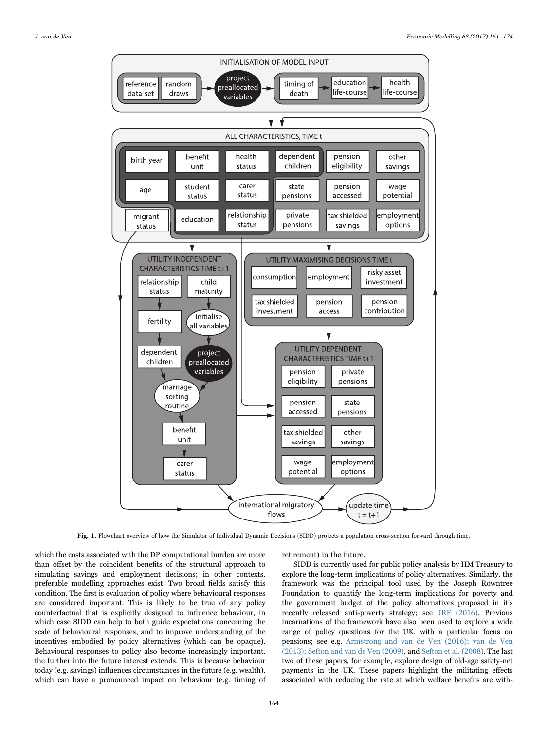<span id="page-3-0"></span>

Fig. 1. Flowchart overview of how the Simulator of Individual Dynamic Decisions (SIDD) projects a population cross-section forward through time.

which the costs associated with the DP computational burden are more than offset by the coincident benefits of the structural approach to simulating savings and employment decisions; in other contexts, preferable modelling approaches exist. Two broad fields satisfy this condition. The first is evaluation of policy where behavioural responses are considered important. This is likely to be true of any policy counterfactual that is explicitly designed to influence behaviour, in which case SIDD can help to both guide expectations concerning the scale of behavioural responses, and to improve understanding of the incentives embodied by policy alternatives (which can be opaque). Behavioural responses to policy also become increasingly important, the further into the future interest extends. This is because behaviour today (e.g. savings) influences circumstances in the future (e.g. wealth), which can have a pronounced impact on behaviour (e.g. timing of retirement) in the future.

SIDD is currently used for public policy analysis by HM Treasury to explore the long-term implications of policy alternatives. Similarly, the framework was the principal tool used by the Joseph Rowntree Foundation to quantify the long-term implications for poverty and the government budget of the policy alternatives proposed in it's recently released anti-poverty strategy; see [JRF \(2016\).](#page-13-14) Previous incarnations of the framework have also been used to explore a wide range of policy questions for the UK, with a particular focus on pensions; see e.g. [Armstrong and van de Ven \(2016\); van de Ven](#page-13-15) [\(2013\); Sefton and van de Ven \(2009\)](#page-13-15), and [Sefton et al. \(2008\).](#page-13-16) The last two of these papers, for example, explore design of old-age safety-net payments in the UK. These papers highlight the militating effects associated with reducing the rate at which welfare benefits are with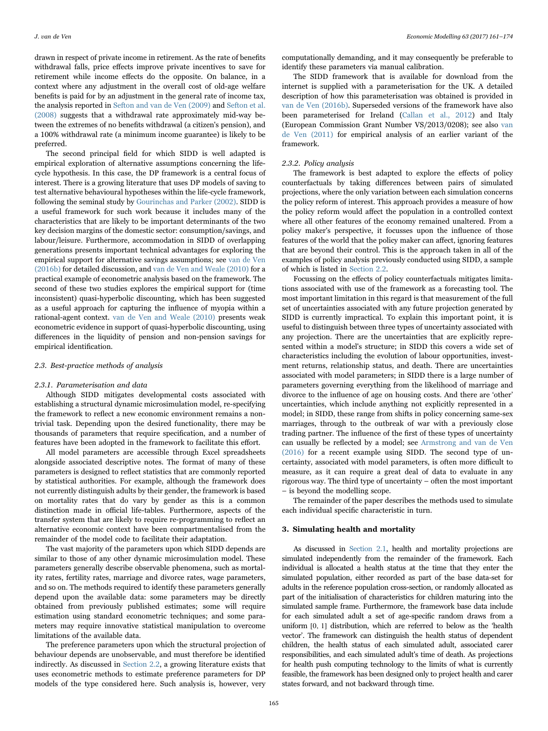drawn in respect of private income in retirement. As the rate of benefits withdrawal falls, price effects improve private incentives to save for retirement while income effects do the opposite. On balance, in a context where any adjustment in the overall cost of old-age welfare benefits is paid for by an adjustment in the general rate of income tax, the analysis reported in [Sefton and van de Ven \(2009\)](#page-13-17) and [Sefton et al.](#page-13-16) [\(2008\)](#page-13-16) suggests that a withdrawal rate approximately mid-way between the extremes of no benefits withdrawal (a citizen's pension), and a 100% withdrawal rate (a minimum income guarantee) is likely to be preferred.

The second principal field for which SIDD is well adapted is empirical exploration of alternative assumptions concerning the lifecycle hypothesis. In this case, the DP framework is a central focus of interest. There is a growing literature that uses DP models of saving to test alternative behavioural hypotheses within the life-cycle framework, following the seminal study by [Gourinchas and Parker \(2002\).](#page-13-18) SIDD is a useful framework for such work because it includes many of the characteristics that are likely to be important determinants of the two key decision margins of the domestic sector: consumption/savings, and labour/leisure. Furthermore, accommodation in SIDD of overlapping generations presents important technical advantages for exploring the empirical support for alternative savings assumptions; see [van de Ven](#page-13-19) [\(2016b\)](#page-13-19) for detailed discussion, and [van de Ven and Weale \(2010\)](#page-13-20) for a practical example of econometric analysis based on the framework. The second of these two studies explores the empirical support for (time inconsistent) quasi-hyperbolic discounting, which has been suggested as a useful approach for capturing the influence of myopia within a rational-agent context. [van de Ven and Weale \(2010\)](#page-13-20) presents weak econometric evidence in support of quasi-hyperbolic discounting, using differences in the liquidity of pension and non-pension savings for empirical identification.

# 2.3. Best-practice methods of analysis

#### 2.3.1. Parameterisation and data

Although SIDD mitigates developmental costs associated with establishing a structural dynamic microsimulation model, re-specifying the framework to reflect a new economic environment remains a nontrivial task. Depending upon the desired functionality, there may be thousands of parameters that require specification, and a number of features have been adopted in the framework to facilitate this effort.

All model parameters are accessible through Excel spreadsheets alongside associated descriptive notes. The format of many of these parameters is designed to reflect statistics that are commonly reported by statistical authorities. For example, although the framework does not currently distinguish adults by their gender, the framework is based on mortality rates that do vary by gender as this is a common distinction made in official life-tables. Furthermore, aspects of the transfer system that are likely to require re-programming to reflect an alternative economic context have been compartmentalised from the remainder of the model code to facilitate their adaptation.

The vast majority of the parameters upon which SIDD depends are similar to those of any other dynamic microsimulation model. These parameters generally describe observable phenomena, such as mortality rates, fertility rates, marriage and divorce rates, wage parameters, and so on. The methods required to identify these parameters generally depend upon the available data: some parameters may be directly obtained from previously published estimates; some will require estimation using standard econometric techniques; and some parameters may require innovative statistical manipulation to overcome limitations of the available data.

The preference parameters upon which the structural projection of behaviour depends are unobservable, and must therefore be identified indirectly. As discussed in [Section 2.2,](#page-2-1) a growing literature exists that uses econometric methods to estimate preference parameters for DP models of the type considered here. Such analysis is, however, very

computationally demanding, and it may consequently be preferable to identify these parameters via manual calibration.

The SIDD framework that is available for download from the internet is supplied with a parameterisation for the UK. A detailed description of how this parameterisation was obtained is provided in [van de Ven \(2016b\)](#page-13-19). Superseded versions of the framework have also been parameterised for Ireland [\(Callan et al., 2012](#page-13-21)) and Italy (European Commission Grant Number VS/2013/0208); see also [van](#page-13-22) [de Ven \(2011\)](#page-13-22) for empirical analysis of an earlier variant of the framework.

## 2.3.2. Policy analysis

The framework is best adapted to explore the effects of policy counterfactuals by taking differences between pairs of simulated projections, where the only variation between each simulation concerns the policy reform of interest. This approach provides a measure of how the policy reform would affect the population in a controlled context where all other features of the economy remained unaltered. From a policy maker's perspective, it focusses upon the influence of those features of the world that the policy maker can affect, ignoring features that are beyond their control. This is the approach taken in all of the examples of policy analysis previously conducted using SIDD, a sample of which is listed in [Section 2.2.](#page-2-1)

Focussing on the effects of policy counterfactuals mitigates limitations associated with use of the framework as a forecasting tool. The most important limitation in this regard is that measurement of the full set of uncertainties associated with any future projection generated by SIDD is currently impractical. To explain this important point, it is useful to distinguish between three types of uncertainty associated with any projection. There are the uncertainties that are explicitly represented within a model's structure; in SIDD this covers a wide set of characteristics including the evolution of labour opportunities, investment returns, relationship status, and death. There are uncertainties associated with model parameters; in SIDD there is a large number of parameters governing everything from the likelihood of marriage and divorce to the influence of age on housing costs. And there are 'other' uncertainties, which include anything not explicitly represented in a model; in SIDD, these range from shifts in policy concerning same-sex marriages, through to the outbreak of war with a previously close trading partner. The influence of the first of these types of uncertainty can usually be reflected by a model; see [Armstrong and van de Ven](#page-13-15) [\(2016\)](#page-13-15) for a recent example using SIDD. The second type of uncertainty, associated with model parameters, is often more difficult to measure, as it can require a great deal of data to evaluate in any rigorous way. The third type of uncertainty – often the most important – is beyond the modelling scope.

The remainder of the paper describes the methods used to simulate each individual specific characteristic in turn.

#### <span id="page-4-0"></span>3. Simulating health and mortality

As discussed in [Section 2.1,](#page-1-4) health and mortality projections are simulated independently from the remainder of the framework. Each individual is allocated a health status at the time that they enter the simulated population, either recorded as part of the base data-set for adults in the reference population cross-section, or randomly allocated as part of the initialisation of characteristics for children maturing into the simulated sample frame. Furthermore, the framework base data include for each simulated adult a set of age-specific random draws from a uniform [0, 1] distribution, which are referred to below as the 'health vector'. The framework can distinguish the health status of dependent children, the health status of each simulated adult, associated carer responsibilities, and each simulated adult's time of death. As projections for health push computing technology to the limits of what is currently feasible, the framework has been designed only to project health and carer states forward, and not backward through time.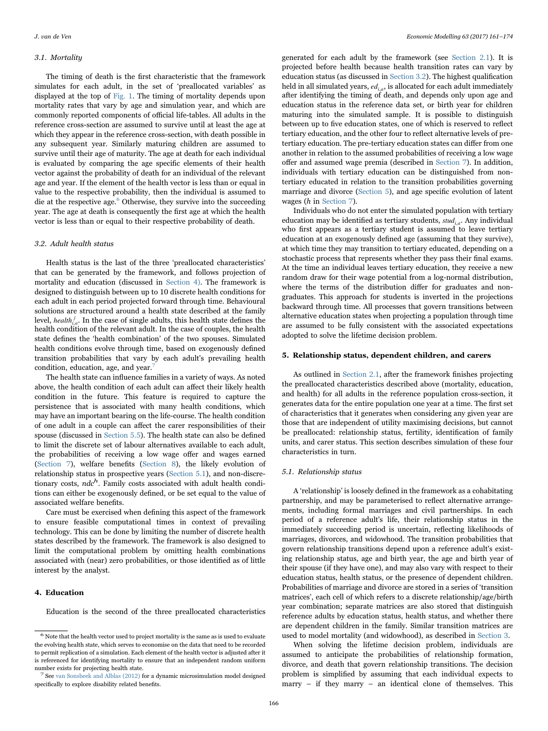#### <span id="page-5-6"></span>3.1. Mortality

The timing of death is the first characteristic that the framework simulates for each adult, in the set of 'preallocated variables' as displayed at the top of [Fig. 1](#page-3-0). The timing of mortality depends upon mortality rates that vary by age and simulation year, and which are commonly reported components of official life-tables. All adults in the reference cross-section are assumed to survive until at least the age at which they appear in the reference cross-section, with death possible in any subsequent year. Similarly maturing children are assumed to survive until their age of maturity. The age at death for each individual is evaluated by comparing the age specific elements of their health vector against the probability of death for an individual of the relevant age and year. If the element of the health vector is less than or equal in value to the respective probability, then the individual is assumed to die at the respective age.<sup>6</sup> [Otherwise, they survive into the succeeding](#page-5-0) year. The age at death is consequently the first age at which the health vector is less than or equal to their respective probability of death.

#### <span id="page-5-4"></span>3.2. Adult health status

Health status is the last of the three 'preallocated characteristics' that can be generated by the framework, and follows projection of mortality and education (discussed in [Section 4\).](#page-5-1) The framework is designed to distinguish between up to 10 discrete health conditions for each adult in each period projected forward through time. Behavioural solutions are structured around a health state described at the family level, *health*<sub>*i,a*</sub>. In the case of single adults, this health state defines the health condition of the relevant adult. In the case of couples, the health state defines the 'health combination' of the two spouses. Simulated health conditions evolve through time, based on exogenously defined transition probabilities that vary by each adult's prevailing health condition, education, age, and year.<sup>[7](#page-5-2)</sup>

The health state can influence families in a variety of ways. As noted above, the health condition of each adult can affect their likely health condition in the future. This feature is required to capture the persistence that is associated with many health conditions, which may have an important bearing on the life-course. The health condition of one adult in a couple can affect the carer responsibilities of their spouse (discussed in [Section 5.5\)](#page-7-0). The health state can also be defined to limit the discrete set of labour alternatives available to each adult, the probabilities of receiving a low wage offer and wages earned ([Section 7\)](#page-8-0), welfare benefits ([Section 8](#page-8-1)), the likely evolution of relationship status in prospective years ([Section 5.1\)](#page-5-3), and non-discretionary costs,  $ndc^h$ . Family costs associated with adult health conditions can either be exogenously defined, or be set equal to the value of associated welfare benefits.

Care must be exercised when defining this aspect of the framework to ensure feasible computational times in context of prevailing technology. This can be done by limiting the number of discrete health states described by the framework. The framework is also designed to limit the computational problem by omitting health combinations associated with (near) zero probabilities, or those identified as of little interest by the analyst.

#### <span id="page-5-1"></span>4. Education

Education is the second of the three preallocated characteristics

generated for each adult by the framework (see [Section 2.1\)](#page-1-4). It is projected before health because health transition rates can vary by education status (as discussed in [Section 3.2](#page-5-4)). The highest qualification held in all simulated years,  $ed_{i,q}$ , is allocated for each adult immediately after identifying the timing of death, and depends only upon age and education status in the reference data set, or birth year for children maturing into the simulated sample. It is possible to distinguish between up to five education states, one of which is reserved to reflect tertiary education, and the other four to reflect alternative levels of pretertiary education. The pre-tertiary education states can differ from one another in relation to the assumed probabilities of receiving a low wage offer and assumed wage premia (described in [Section 7](#page-8-0)). In addition, individuals with tertiary education can be distinguished from nontertiary educated in relation to the transition probabilities governing marriage and divorce ([Section 5](#page-5-5)), and age specific evolution of latent wages (h in [Section 7\)](#page-8-0).

Individuals who do not enter the simulated population with tertiary education may be identified as tertiary students, *studi*,*a*. Any individual who first appears as a tertiary student is assumed to leave tertiary education at an exogenously defined age (assuming that they survive), at which time they may transition to tertiary educated, depending on a stochastic process that represents whether they pass their final exams. At the time an individual leaves tertiary education, they receive a new random draw for their wage potential from a log-normal distribution, where the terms of the distribution differ for graduates and nongraduates. This approach for students is inverted in the projections backward through time. All processes that govern transitions between alternative education states when projecting a population through time are assumed to be fully consistent with the associated expectations adopted to solve the lifetime decision problem.

#### <span id="page-5-5"></span>5. Relationship status, dependent children, and carers

As outlined in [Section 2.1,](#page-1-4) after the framework finishes projecting the preallocated characteristics described above (mortality, education, and health) for all adults in the reference population cross-section, it generates data for the entire population one year at a time. The first set of characteristics that it generates when considering any given year are those that are independent of utility maximising decisions, but cannot be preallocated: relationship status, fertility, identification of family units, and carer status. This section describes simulation of these four characteristics in turn.

#### <span id="page-5-3"></span>5.1. Relationship status

A 'relationship' is loosely defined in the framework as a cohabitating partnership, and may be parameterised to reflect alternative arrangements, including formal marriages and civil partnerships. In each period of a reference adult's life, their relationship status in the immediately succeeding period is uncertain, reflecting likelihoods of marriages, divorces, and widowhood. The transition probabilities that govern relationship transitions depend upon a reference adult's existing relationship status, age and birth year, the age and birth year of their spouse (if they have one), and may also vary with respect to their education status, health status, or the presence of dependent children. Probabilities of marriage and divorce are stored in a series of 'transition matrices', each cell of which refers to a discrete relationship/age/birth year combination; separate matrices are also stored that distinguish reference adults by education status, health status, and whether there are dependent children in the family. Similar transition matrices are used to model mortality (and widowhood), as described in [Section 3.](#page-4-0)

When solving the lifetime decision problem, individuals are assumed to anticipate the probabilities of relationship formation, divorce, and death that govern relationship transitions. The decision problem is simplified by assuming that each individual expects to marry – if they marry – an identical clone of themselves. This

<span id="page-5-0"></span><sup>6</sup> Note that the health vector used to project mortality is the same as is used to evaluate the evolving health state, which serves to economise on the data that need to be recorded to permit replication of a simulation. Each element of the health vector is adjusted after it is referenced for identifying mortality to ensure that an independent random uniform number exists for projecting health state.  $7$  See [van Sonsbeek and Alblas \(2012\)](#page-13-23) for a dynamic microsimulation model designed  $\,$ 

<span id="page-5-2"></span>specifically to explore disability related benefits.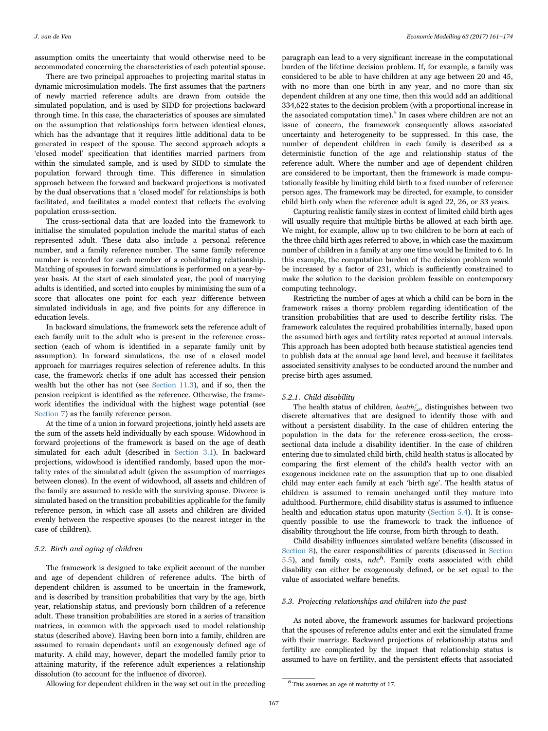assumption omits the uncertainty that would otherwise need to be accommodated concerning the characteristics of each potential spouse.

There are two principal approaches to projecting marital status in dynamic microsimulation models. The first assumes that the partners of newly married reference adults are drawn from outside the simulated population, and is used by SIDD for projections backward through time. In this case, the characteristics of spouses are simulated on the assumption that relationships form between identical clones, which has the advantage that it requires little additional data to be generated in respect of the spouse. The second approach adopts a 'closed model' specification that identifies married partners from within the simulated sample, and is used by SIDD to simulate the population forward through time. This difference in simulation approach between the forward and backward projections is motivated by the dual observations that a 'closed model' for relationships is both facilitated, and facilitates a model context that reflects the evolving population cross-section.

The cross-sectional data that are loaded into the framework to initialise the simulated population include the marital status of each represented adult. These data also include a personal reference number, and a family reference number. The same family reference number is recorded for each member of a cohabitating relationship. Matching of spouses in forward simulations is performed on a year-byyear basis. At the start of each simulated year, the pool of marrying adults is identified, and sorted into couples by minimising the sum of a score that allocates one point for each year difference between simulated individuals in age, and five points for any difference in education levels.

In backward simulations, the framework sets the reference adult of each family unit to the adult who is present in the reference crosssection (each of whom is identified in a separate family unit by assumption). In forward simulations, the use of a closed model approach for marriages requires selection of reference adults. In this case, the framework checks if one adult has accessed their pension wealth but the other has not (see [Section 11.3\)](#page-11-0), and if so, then the pension recipient is identified as the reference. Otherwise, the framework identifies the individual with the highest wage potential (see [Section 7\)](#page-8-0) as the family reference person.

At the time of a union in forward projections, jointly held assets are the sum of the assets held individually by each spouse. Widowhood in forward projections of the framework is based on the age of death simulated for each adult (described in [Section 3.1\)](#page-5-6). In backward projections, widowhood is identified randomly, based upon the mortality rates of the simulated adult (given the assumption of marriages between clones). In the event of widowhood, all assets and children of the family are assumed to reside with the surviving spouse. Divorce is simulated based on the transition probabilities applicable for the family reference person, in which case all assets and children are divided evenly between the respective spouses (to the nearest integer in the case of children).

#### <span id="page-6-1"></span>5.2. Birth and aging of children

The framework is designed to take explicit account of the number and age of dependent children of reference adults. The birth of dependent children is assumed to be uncertain in the framework, and is described by transition probabilities that vary by the age, birth year, relationship status, and previously born children of a reference adult. These transition probabilities are stored in a series of transition matrices, in common with the approach used to model relationship status (described above). Having been born into a family, children are assumed to remain dependants until an exogenously defined age of maturity. A child may, however, depart the modelled family prior to attaining maturity, if the reference adult experiences a relationship dissolution (to account for the influence of divorce).

paragraph can lead to a very significant increase in the computational burden of the lifetime decision problem. If, for example, a family was considered to be able to have children at any age between 20 and 45, with no more than one birth in any year, and no more than six dependent children at any one time, then this would add an additional 334,622 states to the decision problem (with a proportional increase in the associated computation time).<sup>8</sup> [In cases where children are not an](#page-6-0) issue of concern, the framework consequently allows associated uncertainty and heterogeneity to be suppressed. In this case, the number of dependent children in each family is described as a deterministic function of the age and relationship status of the reference adult. Where the number and age of dependent children are considered to be important, then the framework is made computationally feasible by limiting child birth to a fixed number of reference person ages. The framework may be directed, for example, to consider child birth only when the reference adult is aged 22, 26, or 33 years.

Capturing realistic family sizes in context of limited child birth ages will usually require that multiple births be allowed at each birth age. We might, for example, allow up to two children to be born at each of the three child birth ages referred to above, in which case the maximum number of children in a family at any one time would be limited to 6. In this example, the computation burden of the decision problem would be increased by a factor of 231, which is sufficiently constrained to make the solution to the decision problem feasible on contemporary computing technology.

Restricting the number of ages at which a child can be born in the framework raises a thorny problem regarding identification of the transition probabilities that are used to describe fertility risks. The framework calculates the required probabilities internally, based upon the assumed birth ages and fertility rates reported at annual intervals. This approach has been adopted both because statistical agencies tend to publish data at the annual age band level, and because it facilitates associated sensitivity analyses to be conducted around the number and precise birth ages assumed.

#### 5.2.1. Child disability

The health status of children, *health*<sup>c</sup><sub>i,a</sub>, distinguishes between two discrete alternatives that are designed to identify those with and without a persistent disability. In the case of children entering the population in the data for the reference cross-section, the crosssectional data include a disability identifier. In the case of children entering due to simulated child birth, child health status is allocated by comparing the first element of the child's health vector with an exogenous incidence rate on the assumption that up to one disabled child may enter each family at each 'birth age'. The health status of children is assumed to remain unchanged until they mature into adulthood. Furthermore, child disability status is assumed to influence health and education status upon maturity [\(Section 5.4\)](#page-7-1). It is consequently possible to use the framework to track the influence of disability throughout the life course, from birth through to death.

Child disability influences simulated welfare benefits (discussed in [Section 8](#page-8-1)), the carer responsibilities of parents (discussed in [Section](#page-7-0) [5.5\)](#page-7-0), and family costs,  $ndc^h$ . Family costs associated with child disability can either be exogenously defined, or be set equal to the value of associated welfare benefits.

#### 5.3. Projecting relationships and children into the past

As noted above, the framework assumes for backward projections that the spouses of reference adults enter and exit the simulated frame with their marriage. Backward projections of relationship status and fertility are complicated by the impact that relationship status is assumed to have on fertility, and the persistent effects that associated

Allowing for dependent children in the way set out in the preceding

<span id="page-6-0"></span><sup>8</sup> This assumes an age of maturity of 17.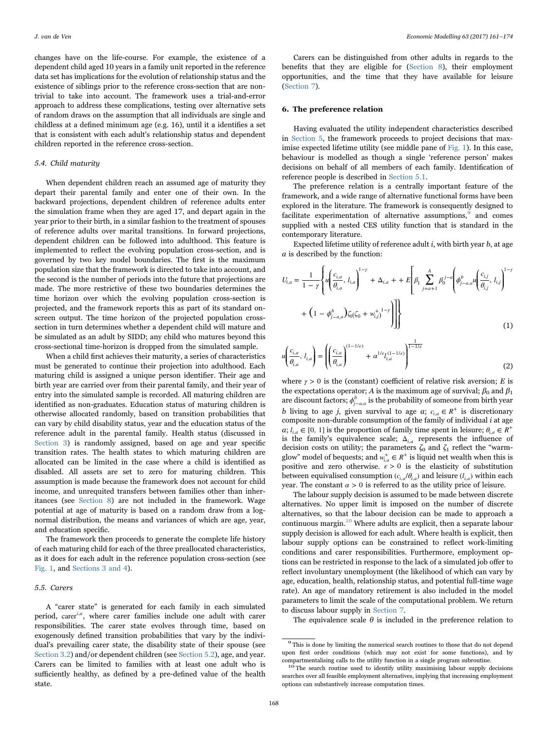changes have on the life-course. For example, the existence of a dependent child aged 10 years in a family unit reported in the reference data set has implications for the evolution of relationship status and the existence of siblings prior to the reference cross-section that are nontrivial to take into account. The framework uses a trial-and-error approach to address these complications, testing over alternative sets of random draws on the assumption that all individuals are single and childless at a defined minimum age (e.g. 16), until it a identifies a set that is consistent with each adult's relationship status and dependent children reported in the reference cross-section.

#### <span id="page-7-1"></span>5.4. Child maturity

When dependent children reach an assumed age of maturity they depart their parental family and enter one of their own. In the backward projections, dependent children of reference adults enter the simulation frame when they are aged 17, and depart again in the year prior to their birth, in a similar fashion to the treatment of spouses of reference adults over marital transitions. In forward projections, dependent children can be followed into adulthood. This feature is implemented to reflect the evolving population cross-section, and is governed by two key model boundaries. The first is the maximum population size that the framework is directed to take into account, and the second is the number of periods into the future that projections are made. The more restrictive of these two boundaries determines the time horizon over which the evolving population cross-section is projected, and the framework reports this as part of its standard onscreen output. The time horizon of the projected population crosssection in turn determines whether a dependent child will mature and be simulated as an adult by SIDD; any child who matures beyond this cross-sectional time-horizon is dropped from the simulated sample.

When a child first achieves their maturity, a series of characteristics must be generated to continue their projection into adulthood. Each maturing child is assigned a unique person identifier. Their age and birth year are carried over from their parental family, and their year of entry into the simulated sample is recorded. All maturing children are identified as non-graduates. Education status of maturing children is otherwise allocated randomly, based on transition probabilities that can vary by child disability status, year and the education status of the reference adult in the parental family. Health status (discussed in [Section 3](#page-4-0)) is randomly assigned, based on age and year specific transition rates. The health states to which maturing children are allocated can be limited in the case where a child is identified as disabled. All assets are set to zero for maturing children. This assumption is made because the framework does not account for child income, and unrequited transfers between families other than inheritances (see [Section 8\)](#page-8-1) are not included in the framework. Wage potential at age of maturity is based on a random draw from a lognormal distribution, the means and variances of which are age, year, and education specific.

The framework then proceeds to generate the complete life history of each maturing child for each of the three preallocated characteristics, as it does for each adult in the reference population cross-section (see [Fig. 1](#page-3-0), and [Sections 3 and 4\)](#page-4-0).

#### <span id="page-7-0"></span>5.5. Carers

A "carer state" is generated for each family in each simulated period, carer<sup>*i,a*</sup>, where carer families include one adult with carer responsibilities. The carer state evolves through time, based on exogenously defined transition probabilities that vary by the individual's prevailing carer state, the disability state of their spouse (see [Section 3.2\)](#page-5-4) and/or dependent children (see [Section 5.2](#page-6-1)), age, and year. Carers can be limited to families with at least one adult who is sufficiently healthy, as defined by a pre-defined value of the health state.

Carers can be distinguished from other adults in regards to the benefits that they are eligible for [\(Section 8\)](#page-8-1), their employment opportunities, and the time that they have available for leisure ([Section 7\)](#page-8-0).

#### <span id="page-7-5"></span>6. The preference relation

Having evaluated the utility independent characteristics described in [Section 5,](#page-5-5) the framework proceeds to project decisions that maximise expected lifetime utility (see middle pane of [Fig. 1](#page-3-0)). In this case, behaviour is modelled as though a single 'reference person' makes decisions on behalf of all members of each family. Identification of reference people is described in [Section 5.1.](#page-5-3)

The preference relation is a centrally important feature of the framework, and a wide range of alternative functional forms have been explored in the literature. The framework is consequently designed to facilitate experimentation of alternative assumptions, $9$  [and comes](#page-7-2) supplied with a nested CES utility function that is standard in the contemporary literature.

<span id="page-7-4"></span>Expected lifetime utility of reference adult  $i$ , with birth year  $b$ , at age a is described by the function:

$$
U_{i,a} = \frac{1}{1 - \gamma} \left\{ u \left( \frac{c_{i,a}}{\theta_{i,a}}, l_{i,a} \right)^{1 - \gamma} + \Delta_{i,a} + + E \left[ \beta_1 \sum_{j=a+1}^{A} \beta_0^{j-a} \left( \phi_{j-a,a}^b u \left( \frac{c_{i,j}}{\theta_{i,j}}, l_{i,j} \right)^{1 - \gamma} \right) + \left( 1 - \phi_{j-a,a}^b \right) \zeta_1 \zeta_0 + w_{i,j}^{+1 - \gamma} \right) \right\}
$$
(1)

$$
u\left(\frac{c_{i,a}}{\theta_{i,a}}, l_{i,a}\right) = \left(\left(\frac{c_{i,a}}{\theta_{i,a}}\right)^{(1-1/\varepsilon)} + \alpha^{1/\varepsilon}l_{i,a}^{(1-1/\varepsilon)}\right)^{\frac{1}{1-1/\varepsilon}}
$$
(2)

where  $\gamma > 0$  is the (constant) coefficient of relative risk aversion; E is the expectations operator; A is the maximum age of survival;  $\beta_0$  and  $\beta_1$ are discount factors;  $\phi_{j-a,a}^b$  is the probability of someone from birth year *b* living to age *j*, given survival to age *a*;  $c_{i,a} \in R^+$  is discretionary composite non-durable consumption of the family of individual  $i$  at age  $a; l_{i,q} \in [0, 1]$  is the proportion of family time spent in leisure;  $\theta_{i,q} \in \mathbb{R}^+$ is the family's equivalence scale;  $\Delta_{i,a}$  represents the influence of decision costs on utility; the parameters  $\zeta_0$  and  $\zeta_1$  reflect the "warmglow" model of bequests; and  $w_i^+ \in R^+$  is liquid net wealth when this is positive and zero otherwise.  $\varepsilon > 0$  is the elasticity of substitution between equivalised consumption  $(c_{i,a}/\theta_{i,a})$  and leisure  $(l_{i,a})$  within each year. The constant  $\alpha > 0$  is referred to as the utility price of leisure.

The labour supply decision is assumed to be made between discrete alternatives. No upper limit is imposed on the number of discrete alternatives, so that the labour decision can be made to approach a continuous margin.<sup>10</sup> [Where adults are explicit, then a separate labour](#page-7-3) supply decision is allowed for each adult. Where health is explicit, then labour supply options can be constrained to reflect work-limiting conditions and carer responsibilities. Furthermore, employment options can be restricted in response to the lack of a simulated job offer to reflect involuntary unemployment (the likelihood of which can vary by age, education, health, relationship status, and potential full-time wage rate). An age of mandatory retirement is also included in the model parameters to limit the scale of the computational problem. We return to discuss labour supply in [Section 7.](#page-8-0)

The equivalence scale  $\theta$  is included in the preference relation to

<span id="page-7-2"></span> $9$  This is done by limiting the numerical search routines to those that do not depend upon first order conditions (which may not exist for some functions), and by

<span id="page-7-3"></span>compartmentalising calls to the utility function in a single program subroutine.  $10$  The search routine used to identify utility maximising labour supply decisions searches over all feasible employment alternatives, implying that increasing employment options can substantively increase computation times.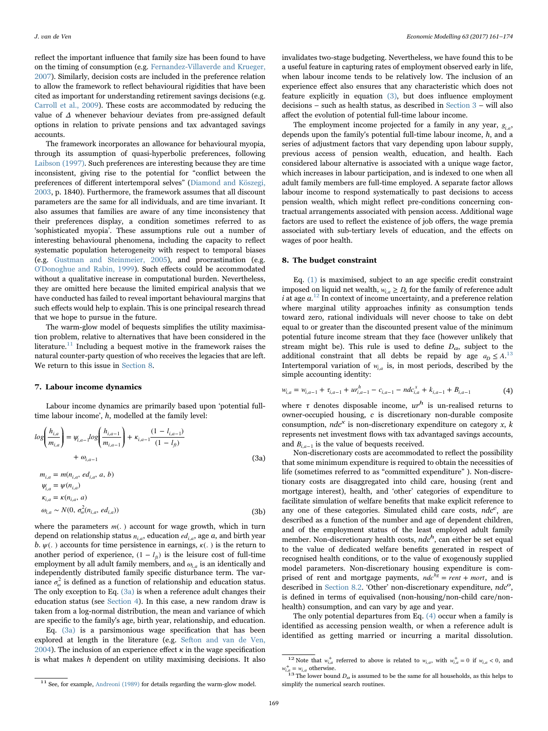reflect the important influence that family size has been found to have on the timing of consumption (e.g. [Fernandez-Villaverde and Krueger,](#page-13-24) [2007\)](#page-13-24). Similarly, decision costs are included in the preference relation to allow the framework to reflect behavioural rigidities that have been cited as important for understanding retirement savings decisions (e.g. [Carroll et al., 2009](#page-13-25)). These costs are accommodated by reducing the value of  $\varDelta$  whenever behaviour deviates from pre-assigned default options in relation to private pensions and tax advantaged savings accounts.

The framework incorporates an allowance for behavioural myopia, through its assumption of quasi-hyperbolic preferences, following [Laibson \(1997\).](#page-13-26) Such preferences are interesting because they are time inconsistent, giving rise to the potential for "conflict between the preferences of different intertemporal selves" [\(Diamond and Köszegi,](#page-13-27) [2003,](#page-13-27) p. 1840). Furthermore, the framework assumes that all discount parameters are the same for all individuals, and are time invariant. It also assumes that families are aware of any time inconsistency that their preferences display, a condition sometimes referred to as 'sophisticated myopia'. These assumptions rule out a number of interesting behavioural phenomena, including the capacity to reflect systematic population heterogeneity with respect to temporal biases (e.g. [Gustman and Steinmeier, 2005\)](#page-13-28), and procrastination (e.g. [O'Donoghue and Rabin, 1999](#page-13-29)). Such effects could be accommodated without a qualitative increase in computational burden. Nevertheless, they are omitted here because the limited empirical analysis that we have conducted has failed to reveal important behavioural margins that such effects would help to explain. This is one principal research thread that we hope to pursue in the future.

The warm-glow model of bequests simplifies the utility maximisation problem, relative to alternatives that have been considered in the literature.<sup>11</sup> [Including a bequest motive in the framework raises the](#page-8-2) natural counter-party question of who receives the legacies that are left. We return to this issue in [Section 8.](#page-8-1)

#### <span id="page-8-0"></span>7. Labour income dynamics

<span id="page-8-3"></span>Labour income dynamics are primarily based upon 'potential fulltime labour income', h, modelled at the family level:

$$
log\left(\frac{h_{i,a}}{m_{i,a}}\right) = \psi_{i,a-1} log\left(\frac{h_{i,a-1}}{m_{i,a-1}}\right) + \kappa_{i,a-1} \frac{(1 - l_{i,a-1})}{(1 - l_{f})} + \omega_{i,a-1}
$$
  
+  $\omega_{i,a-1}$  (3a)  

$$
m_{i,a} = m(n_{i,a}, ed_{i,a}, a, b)
$$

$$
\psi_{i,a} = \psi(n_{i,a})
$$
  
\n
$$
\kappa_{i,a} = \kappa(n_{i,a}, a)
$$
  
\n
$$
\omega_{i,a} \sim N(0, \sigma_o^2(n_{i,a}, ed_{i,a}))
$$
\n(3b)

where the parameters *m*(. ) account for wage growth, which in turn depend on relationship status  $n_{i,a}$ , education  $ed_{i,a}$ , age  $a$ , and birth year b.  $\psi$ (.) accounts for time persistence in earnings,  $\kappa$ (.) is the return to another period of experience,  $(1 - l_f)$  is the leisure cost of full-time employment by all adult family members, and  $\omega_{i,a}$  is an identically and independently distributed family specific disturbance term. The variance  $\sigma_{\omega}^2$  is defined as a function of relationship and education status. The only exception to Eq. [\(3a\)](#page-8-3) is when a reference adult changes their education status (see [Section 4\)](#page-5-1). In this case, a new random draw is taken from a log-normal distribution, the mean and variance of which are specific to the family's age, birth year, relationship, and education.

Eq. [\(3a\)](#page-8-3) is a parsimonious wage specification that has been explored at length in the literature (e.g. [Sefton and van de Ven,](#page-13-30) [2004\)](#page-13-30). The inclusion of an experience effect  $\kappa$  in the wage specification is what makes  $h$  dependent on utility maximising decisions. It also

invalidates two-stage budgeting. Nevertheless, we have found this to be a useful feature in capturing rates of employment observed early in life, when labour income tends to be relatively low. The inclusion of an experience effect also ensures that any characteristic which does not feature explicitly in equation [\(3\)](#page-8-3), but does influence employment decisions – such as health status, as described in [Section 3](#page-4-0) – will also affect the evolution of potential full-time labour income.

The employment income projected for a family in any year,  $g_{i,a}$ , depends upon the family's potential full-time labour income,  $h$ , and a series of adjustment factors that vary depending upon labour supply, previous access of pension wealth, education, and health. Each considered labour alternative is associated with a unique wage factor, which increases in labour participation, and is indexed to one when all adult family members are full-time employed. A separate factor allows labour income to respond systematically to past decisions to access pension wealth, which might reflect pre-conditions concerning contractual arrangements associated with pension access. Additional wage factors are used to reflect the existence of job offers, the wage premia associated with sub-tertiary levels of education, and the effects on wages of poor health.

#### <span id="page-8-1"></span>8. The budget constraint

Eq. [\(1\)](#page-7-4) is maximised, subject to an age specific credit constraint imposed on liquid net wealth,  $w_{i,a} \geq D_a$  for the family of reference adult  $i$  at age  $a$ .<sup>12</sup> [In context of income uncertainty, and a preference relation](#page-8-4) where marginal utility approaches infinity as consumption tends toward zero, rational individuals will never choose to take on debt equal to or greater than the discounted present value of the minimum potential future income stream that they face (however unlikely that stream might be). This rule is used to define  $D_a$ , subject to the additional constraint that all debts be repaid by age  $a_D \le A$ .<sup>[13](#page-8-5)</sup> Intertemporal variation of  $w_{i,a}$  is, in most periods, described by the simple accounting identity:

<span id="page-8-6"></span>
$$
w_{i,a} = w_{i,a-1} + \tau_{i,a-1} + ur_{i,a-1}^h - c_{i,a-1} - ndc_{i,a}^x + k_{i,a-1} + B_{i,a-1}
$$
 (4)

where  $\tau$  denotes disposable income,  $ur^h$  is un-realised returns to owner-occupied housing, c is discretionary non-durable composite consumption,  $ndc^x$  is non-discretionary expenditure on category x, k represents net investment flows with tax advantaged savings accounts, and  $B_{i,a-1}$  is the value of bequests received.

Non-discretionary costs are accommodated to reflect the possibility that some minimum expenditure is required to obtain the necessities of life (sometimes referred to as "committed expenditure" ). Non-discretionary costs are disaggregated into child care, housing (rent and mortgage interest), health, and 'other' categories of expenditure to facilitate simulation of welfare benefits that make explicit reference to any one of these categories. Simulated child care costs,  $ndc^c$ , are described as a function of the number and age of dependent children, and of the employment status of the least employed adult family member. Non-discretionary health costs,  $ndc^h$ , can either be set equal to the value of dedicated welfare benefits generated in respect of recognised health conditions, or to the value of exogenously supplied model parameters. Non-discretionary housing expenditure is comprised of rent and mortgage payments,  $ndc^{hg} = rent + mort$ , and is described in [Section 8.2](#page-9-0). 'Other' non-discretionary expenditure,  $ndc^o$ , is defined in terms of equivalised (non-housing/non-child care/nonhealth) consumption, and can vary by age and year.

The only potential departures from Eq. [\(4\)](#page-8-6) occur when a family is identified as accessing pension wealth, or when a reference adult is identified as getting married or incurring a marital dissolution.

<span id="page-8-4"></span><sup>&</sup>lt;sup>12</sup> Note that  $w_{i,a}^+$  referred to above is related to  $w_{i,a}$ , with  $w_{i,a}^+ = 0$  if  $w_{i,a} < 0$ , and  $w_{i,a}^+ = w_{i,a}$  otherwise.<br><sup>13</sup> The lower bound  $D_{\alpha}$  is assumed to be the same for all households, as this helps to

<span id="page-8-5"></span>simplify the numerical search routines.

<span id="page-8-2"></span><sup>&</sup>lt;sup>11</sup> See, for example, [Andreoni \(1989\)](#page-13-31) for details regarding the warm-glow model.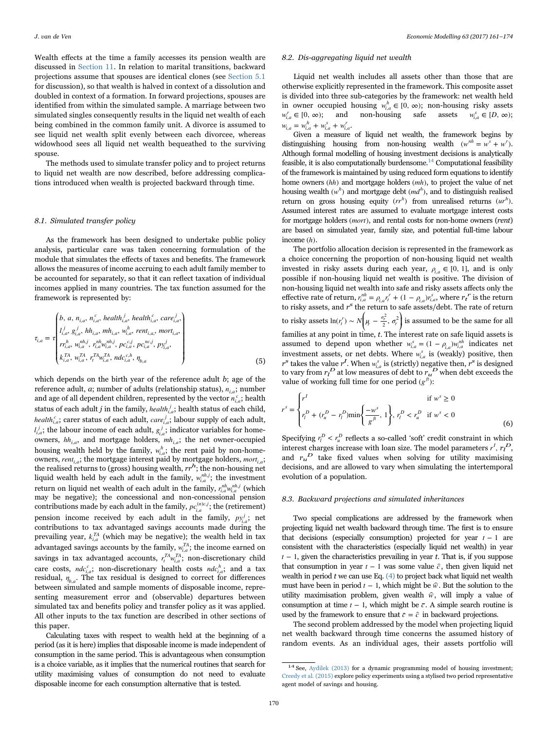Wealth effects at the time a family accesses its pension wealth are discussed in [Section 11.](#page-10-0) In relation to marital transitions, backward projections assume that spouses are identical clones (see [Section 5.1](#page-5-3) for discussion), so that wealth is halved in context of a dissolution and doubled in context of a formation. In forward projections, spouses are identified from within the simulated sample. A marriage between two simulated singles consequently results in the liquid net wealth of each being combined in the common family unit. A divorce is assumed to see liquid net wealth split evenly between each divorcee, whereas widowhood sees all liquid net wealth bequeathed to the surviving spouse.

The methods used to simulate transfer policy and to project returns to liquid net wealth are now described, before addressing complications introduced when wealth is projected backward through time.

#### 8.1. Simulated transfer policy

As the framework has been designed to undertake public policy analysis, particular care was taken concerning formulation of the module that simulates the effects of taxes and benefits. The framework allows the measures of income accruing to each adult family member to be accounted for separately, so that it can reflect taxation of individual incomes applied in many countries. The tax function assumed for the framework is represented by:

$$
\tau_{i,a} = \tau \begin{pmatrix} b, a, n_{i,a}, n_{i,a}^c, health_{i,a}^i, health_{i,a}^c, care_{i,a}^j, \\ l_{i,a}^j, g_{i,a}^j, hh_{i,a}, mh_{i,a}, w_{i,a}^h, rent_{i,a}, mort_{i,a}, \\ rn_{i,a}^h, w_{i,a}^{mhj}, r_{i,a}^{nh}w_{i,a}^{hhj}, pc_{i,a}^{ci}, pc_{i,a}^{ncj}, py_{i,a}^j, \\ k_{i,a}^{TA}, w_{i,a}^{TA}, r_{i}^{TA}w_{i,a}^{TA}, ndc_{i,a}^{ch}, \eta_{b,a} \end{pmatrix}
$$
(5)

which depends on the birth year of the reference adult b; age of the reference adult,  $a$ ; number of adults (relationship status),  $n_{i}$ ; number and age of all dependent children, represented by the vector  $n_{i,a}^c$ ; health status of each adult  $j$  in the family,  $\mathit{health}_{i,a}$ ; health status of each child,  $\mathit{health}_{i, a}^c$ ; carer status of each adult,  $\mathit{care}_{i, a}^j$ ; labour supply of each adult,  $l_{i,a}^j$ ; the labour income of each adult,  $g_{i,a}^j$ ; indicator variables for homeowners,  $hh_{i,a}$ , and mortgage holders,  $mh_{i,a}$ ; the net owner-occupied housing wealth held by the family,  $w_{i,a}^h$ ; the rent paid by non-homeowners, *rent<sub>i</sub>*<sub>a</sub>; the mortgage interest paid by mortgage holders, *mort<sub>ia</sub>*; the realised returns to (gross) housing wealth,  $rr^h$ ; the non-housing net liquid wealth held by each adult in the family,  $w_{i,a}^{nh,j}$ ; the investment return on liquid net wealth of each adult in the family,  $r_{i,a}^{nh}w_{i,a}^{nh,j}$  (which may be negative); the concessional and non-concessional pension contributions made by each adult in the family,  $\mathit{pc}_{i, a}^{(n)c,j}$ ; the (retirement) pension income received by each adult in the family,  $p_{y_{i,a}}^{y'}$ ; net contributions to tax advantaged savings accounts made during the prevailing year,  $k_{i,a}^{TA}$  (which may be negative); the wealth held in tax advantaged savings accounts by the family,  $w_{i,a}^{TA}$ ; the income earned on savings in tax advantaged accounts,  $r_t^{TA} w_{i,a}^{TA}$ ; non-discretionary child care costs,  $ndc_{i,a}^c$ ; non-discretionary health costs  $ndc_{i,a}^h$ ; and a tax residual,  $\eta_{b,a}$ . The tax residual is designed to correct for differences between simulated and sample moments of disposable income, representing measurement error and (observable) departures between simulated tax and benefits policy and transfer policy as it was applied. All other inputs to the tax function are described in other sections of this paper.

Calculating taxes with respect to wealth held at the beginning of a period (as it is here) implies that disposable income is made independent of consumption in the same period. This is advantageous when consumption is a choice variable, as it implies that the numerical routines that search for utility maximising values of consumption do not need to evaluate disposable income for each consumption alternative that is tested.

#### <span id="page-9-0"></span>8.2. Dis-aggregating liquid net wealth

Liquid net wealth includes all assets other than those that are otherwise explicitly represented in the framework. This composite asset is divided into three sub-categories by the framework: net wealth held in owner occupied housing  $w_{i,a}^h \in [0, \infty)$ ; non-housing risky assets  $w_{i,a}^r \in [0, \infty)$  $w_{i,a}^r \in [0, \infty);$  and non-housing safe assets  $w_{i,a}^s \in [D, \infty);$  $w_{i,a} = w_{i,a}^h + w_{i,a}^s + w_{i,a}^r$ .

Given a measure of liquid net wealth, the framework begins by distinguishing housing from non-housing wealth  $(w^{nh} = w^s + w^r)$ . Although formal modelling of housing investment decisions is analytically feasible, it is also computationally burdensome.<sup>14</sup> [Computational feasibility](#page-9-1) of the framework is maintained by using reduced form equations to identify home owners (*hh*) and mortgage holders (*mh*), to project the value of net housing wealth  $(w<sup>h</sup>)$  and mortgage debt  $(md<sup>h</sup>)$ , and to distinguish realised return on gross housing equity  $(rr^h)$  from unrealised returns  $(nr^h)$ . Assumed interest rates are assumed to evaluate mortgage interest costs for mortgage holders (*mort*), and rental costs for non-home owners (rent) are based on simulated year, family size, and potential full-time labour income (*h*).

The portfolio allocation decision is represented in the framework as a choice concerning the proportion of non-housing liquid net wealth invested in risky assets during each year,  $\rho_{i,q} \in [0, 1]$ , and is only possible if non-housing liquid net wealth is positive. The division of non-housing liquid net wealth into safe and risky assets affects only the effective rate of return,  $r_{i,a}^{nh} = \rho_{i,a} r_i^r + (1 - \rho_{i,a}) r_{i,a}^s$ , where  $r_t^r$  is the return to risky assets, and  $r^s$  the return to safe assets/debt. The rate of return to risky assets  $\ln(r'_t) \sim N\left(\mu_t - \frac{\sigma_r^2}{2}, \sigma_r^2\right)$  is assumed to be the same for all families at any point in time,  $t$ . The interest rate on safe liquid assets is assumed to depend upon whether  $w_{i,a}^s = (1 - \rho_{i,a})w_{i,a}^{nh}$  indicates net investment assets, or net debts. Where  $w_{i,a}^s$  is (weakly) positive, then  $r^s$  takes the value  $r^I$ . When  $w_{i,a}^s$  is (strictly) negative then,  $r^s$  is designed to vary from  $r_l^D$  at low measures of debt to  $r_u^D$  when debt exceeds the value of working full time for one period  $(g<sup>f</sup>)$ :

$$
r^{s} = \begin{cases} r^{l} & \text{if } w^{s} \ge 0\\ r_{l}^{D} + (r_{u}^{D} - r_{l}^{D}) \min\left\{\frac{-w^{s}}{g^{n}}, 1\right\}, r_{l}^{D} < r_{u}^{D} \text{ if } w^{s} < 0 \end{cases} \tag{6}
$$

Specifying  $r_l^D < r_u^D$  reflects a so-called 'soft' credit constraint in which interest charges increase with loan size. The model parameters  $r^l$ ,  $r_l^D$ , and  $r_u^D$  take fixed values when solving for utility maximising decisions, and are allowed to vary when simulating the intertemporal evolution of a population.

#### 8.3. Backward projections and simulated inheritances

Two special complications are addressed by the framework when projecting liquid net wealth backward through time. The first is to ensure that decisions (especially consumption) projected for year *t* − 1 are consistent with the characteristics (especially liquid net wealth) in year *t* − 1, given the characteristics prevailing in year t. That is, if you suppose that consumption in year  $t - 1$  was some value  $\hat{c}$ , then given liquid net wealth in period  $t$  we can use Eq.  $(4)$  to project back what liquid net wealth must have been in period  $t - 1$ , which might be  $\hat{w}$ . But the solution to the utility maximisation problem, given wealth  $\hat{w}$ , will imply a value of consumption at time  $t - 1$ , which might be  $\bar{c}$ . A simple search routine is used by the framework to ensure that  $\bar{c} = \hat{c}$  in backward projections.

The second problem addressed by the model when projecting liquid net wealth backward through time concerns the assumed history of random events. As an individual ages, their assets portfolio will

<span id="page-9-1"></span><sup>&</sup>lt;sup>14</sup> See, [Aydilek \(2013\)](#page-13-32) for a dynamic programming model of housing investment; [Creedy et al. \(2015\)](#page-13-33) explore policy experiments using a stylised two period representative agent model of savings and housing.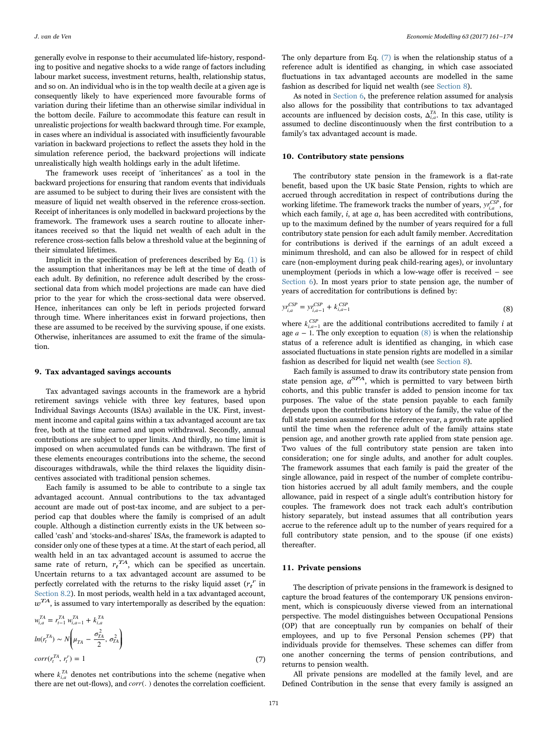generally evolve in response to their accumulated life-history, responding to positive and negative shocks to a wide range of factors including labour market success, investment returns, health, relationship status, and so on. An individual who is in the top wealth decile at a given age is consequently likely to have experienced more favourable forms of variation during their lifetime than an otherwise similar individual in the bottom decile. Failure to accommodate this feature can result in unrealistic projections for wealth backward through time. For example, in cases where an individual is associated with insufficiently favourable variation in backward projections to reflect the assets they hold in the simulation reference period, the backward projections will indicate unrealistically high wealth holdings early in the adult lifetime.

The framework uses receipt of 'inheritances' as a tool in the backward projections for ensuring that random events that individuals are assumed to be subject to during their lives are consistent with the measure of liquid net wealth observed in the reference cross-section. Receipt of inheritances is only modelled in backward projections by the framework. The framework uses a search routine to allocate inheritances received so that the liquid net wealth of each adult in the reference cross-section falls below a threshold value at the beginning of their simulated lifetimes.

Implicit in the specification of preferences described by Eq. [\(1\)](#page-7-4) is the assumption that inheritances may be left at the time of death of each adult. By definition, no reference adult described by the crosssectional data from which model projections are made can have died prior to the year for which the cross-sectional data were observed. Hence, inheritances can only be left in periods projected forward through time. Where inheritances exist in forward projections, then these are assumed to be received by the surviving spouse, if one exists. Otherwise, inheritances are assumed to exit the frame of the simulation.

#### 9. Tax advantaged savings accounts

Tax advantaged savings accounts in the framework are a hybrid retirement savings vehicle with three key features, based upon Individual Savings Accounts (ISAs) available in the UK. First, investment income and capital gains within a tax advantaged account are tax free, both at the time earned and upon withdrawal. Secondly, annual contributions are subject to upper limits. And thirdly, no time limit is imposed on when accumulated funds can be withdrawn. The first of these elements encourages contributions into the scheme, the second discourages withdrawals, while the third relaxes the liquidity disincentives associated with traditional pension schemes.

Each family is assumed to be able to contribute to a single tax advantaged account. Annual contributions to the tax advantaged account are made out of post-tax income, and are subject to a perperiod cap that doubles where the family is comprised of an adult couple. Although a distinction currently exists in the UK between socalled 'cash' and 'stocks-and-shares' ISAs, the framework is adapted to consider only one of these types at a time. At the start of each period, all wealth held in an tax advantaged account is assumed to accrue the same rate of return,  $r_t^{TA}$ , which can be specified as uncertain. Uncertain returns to a tax advantaged account are assumed to be perfectly correlated with the returns to the risky liquid asset  $(r_t^r)$  in [Section 8.2\)](#page-9-0). In most periods, wealth held in a tax advantaged account,  $w^{TA}$ , is assumed to vary intertemporally as described by the equation:

<span id="page-10-1"></span>
$$
w_{i,a}^{TA} = r_{t-1}^{TA} w_{i,a-1}^{TA} + k_{i,a}^{TA}
$$
  

$$
ln(r_t^{TA}) \sim N \left(\mu_{TA} - \frac{\sigma_{TA}^2}{2}, \sigma_{TA}^2\right)
$$
  

$$
corr(r_t^{TA}, r_t^r) = 1
$$
 (7)

where  $k_{i,a}^{TA}$  denotes net contributions into the scheme (negative when there are net out-flows), and *corr*(. ) denotes the correlation coefficient. The only departure from Eq.  $(7)$  is when the relationship status of a reference adult is identified as changing, in which case associated fluctuations in tax advantaged accounts are modelled in the same fashion as described for liquid net wealth (see [Section 8](#page-8-1)).

As noted in [Section 6](#page-7-5), the preference relation assumed for analysis also allows for the possibility that contributions to tax advantaged accounts are influenced by decision costs,  $\Delta_{i,a}^{TA}$ . In this case, utility is assumed to decline discontinuously when the first contribution to a family's tax advantaged account is made.

#### 10. Contributory state pensions

The contributory state pension in the framework is a flat-rate benefit, based upon the UK basic State Pension, rights to which are accrued through accreditation in respect of contributions during the working lifetime. The framework tracks the number of years,  $y_{i,a}^{CSP}$ , for which each family,  $i$ , at age  $a$ , has been accredited with contributions, up to the maximum defined by the number of years required for a full contributory state pension for each adult family member. Accreditation for contributions is derived if the earnings of an adult exceed a minimum threshold, and can also be allowed for in respect of child care (non-employment during peak child-rearing ages), or involuntary unemployment (periods in which a low-wage offer is received – see [Section 6\)](#page-7-5). In most years prior to state pension age, the number of years of accreditation for contributions is defined by:

<span id="page-10-2"></span>
$$
y_{i,a}^{CSP} = y_{i,a-1}^{CSP} + k_{i,a-1}^{CSP}
$$
 (8)

where  $k_{i,a-1}^{CSP}$  are the additional contributions accredited to family *i* at age  $a - 1$ . The only exception to equation [\(8\)](#page-10-2) is when the relationship status of a reference adult is identified as changing, in which case associated fluctuations in state pension rights are modelled in a similar fashion as described for liquid net wealth (see [Section 8](#page-8-1)).

Each family is assumed to draw its contributory state pension from state pension age,  $a^{SPA}$ , which is permitted to vary between birth cohorts, and this public transfer is added to pension income for tax purposes. The value of the state pension payable to each family depends upon the contributions history of the family, the value of the full state pension assumed for the reference year, a growth rate applied until the time when the reference adult of the family attains state pension age, and another growth rate applied from state pension age. Two values of the full contributory state pension are taken into consideration; one for single adults, and another for adult couples. The framework assumes that each family is paid the greater of the single allowance, paid in respect of the number of complete contribution histories accrued by all adult family members, and the couple allowance, paid in respect of a single adult's contribution history for couples. The framework does not track each adult's contribution history separately, but instead assumes that all contribution years accrue to the reference adult up to the number of years required for a full contributory state pension, and to the spouse (if one exists) thereafter.

#### <span id="page-10-0"></span>11. Private pensions

The description of private pensions in the framework is designed to capture the broad features of the contemporary UK pensions environment, which is conspicuously diverse viewed from an international perspective. The model distinguishes between Occupational Pensions (OP) that are conceptually run by companies on behalf of their employees, and up to five Personal Pension schemes (PP) that individuals provide for themselves. These schemes can differ from one another concerning the terms of pension contributions, and returns to pension wealth.

All private pensions are modelled at the family level, and are Defined Contribution in the sense that every family is assigned an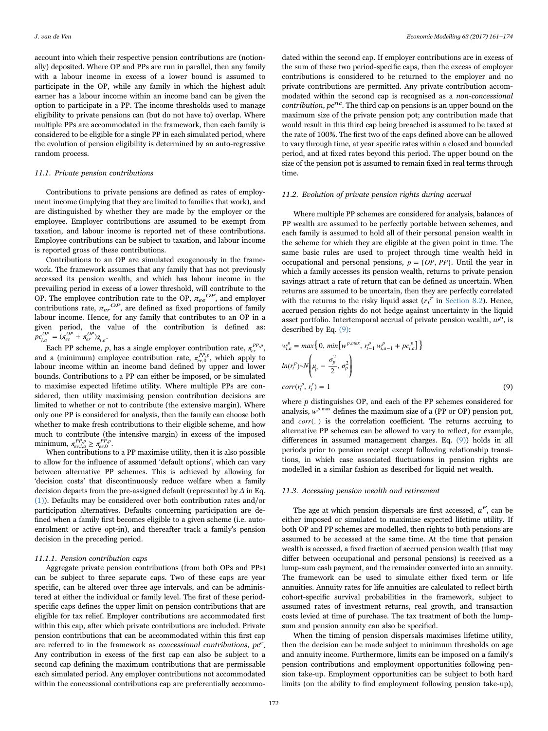account into which their respective pension contributions are (notionally) deposited. Where OP and PPs are run in parallel, then any family with a labour income in excess of a lower bound is assumed to participate in the OP, while any family in which the highest adult earner has a labour income within an income band can be given the option to participate in a PP. The income thresholds used to manage eligibility to private pensions can (but do not have to) overlap. Where multiple PPs are accommodated in the framework, then each family is considered to be eligible for a single PP in each simulated period, where the evolution of pension eligibility is determined by an auto-regressive random process.

#### 11.1. Private pension contributions

Contributions to private pensions are defined as rates of employment income (implying that they are limited to families that work), and are distinguished by whether they are made by the employer or the employee. Employer contributions are assumed to be exempt from taxation, and labour income is reported net of these contributions. Employee contributions can be subject to taxation, and labour income is reported gross of these contributions.

Contributions to an OP are simulated exogenously in the framework. The framework assumes that any family that has not previously accessed its pension wealth, and which has labour income in the prevailing period in excess of a lower threshold, will contribute to the OP. The employee contribution rate to the OP,  $\pi_{ee}^{OP}$ , and employer contributions rate,  $\pi_{er}^{OP}$ , are defined as fixed proportions of family labour income. Hence, for any family that contributes to an OP in a given period, the value of the contribution is defined as:  $pc_{i,a}^{OP} = (\pi_{ee}^{OP} + \pi_{er}^{OP})g_{i,a}.$ 

Each PP scheme, *p*, has a single employer contribution rate,  $\pi_{er}^{PP,p}$ , and a (minimum) employee contribution rate,  $\pi_{ee,0}^{PP,p}$ , which apply to labour income within an income band defined by upper and lower bounds. Contributions to a PP can either be imposed, or be simulated to maximise expected lifetime utility. Where multiple PPs are considered, then utility maximising pension contribution decisions are limited to whether or not to contribute (the extensive margin). Where only one PP is considered for analysis, then the family can choose both whether to make fresh contributions to their eligible scheme, and how much to contribute (the intensive margin) in excess of the imposed minimum,  $\pi_{ee,i,a}^{PP,p} \geq \pi_{ee,0}^{PP,p}$ .

When contributions to a PP maximise utility, then it is also possible to allow for the influence of assumed 'default options', which can vary between alternative PP schemes. This is achieved by allowing for 'decision costs' that discontinuously reduce welfare when a family decision departs from the pre-assigned default (represented by  $\Delta$  in Eq. [\(1\)](#page-7-4)). Defaults may be considered over both contribution rates and/or participation alternatives. Defaults concerning participation are defined when a family first becomes eligible to a given scheme (i.e. autoenrolment or active opt-in), and thereafter track a family's pension decision in the preceding period.

#### 11.1.1. Pension contribution caps

Aggregate private pension contributions (from both OPs and PPs) can be subject to three separate caps. Two of these caps are year specific, can be altered over three age intervals, and can be administered at either the individual or family level. The first of these periodspecific caps defines the upper limit on pension contributions that are eligible for tax relief. Employer contributions are accommodated first within this cap, after which private contributions are included. Private pension contributions that can be accommodated within this first cap are referred to in the framework as *concessional contributions*,  $pc^c$ . Any contribution in excess of the first cap can also be subject to a second cap defining the maximum contributions that are permissable each simulated period. Any employer contributions not accommodated within the concessional contributions cap are preferentially accommo-

dated within the second cap. If employer contributions are in excess of the sum of these two period-specific caps, then the excess of employer contributions is considered to be returned to the employer and no private contributions are permitted. Any private contribution accommodated within the second cap is recognised as a non-concessional  $contribution, pc<sup>nc</sup>$ . The third cap on pensions is an upper bound on the maximum size of the private pension pot; any contribution made that would result in this third cap being breached is assumed to be taxed at the rate of 100%. The first two of the caps defined above can be allowed to vary through time, at year specific rates within a closed and bounded period, and at fixed rates beyond this period. The upper bound on the size of the pension pot is assumed to remain fixed in real terms through time.

#### 11.2. Evolution of private pension rights during accrual

Where multiple PP schemes are considered for analysis, balances of PP wealth are assumed to be perfectly portable between schemes, and each family is assumed to hold all of their personal pension wealth in the scheme for which they are eligible at the given point in time. The same basic rules are used to project through time wealth held in occupational and personal pensions,  $p = \{OP, PP\}$ . Until the year in which a family accesses its pension wealth, returns to private pension savings attract a rate of return that can be defined as uncertain. When returns are assumed to be uncertain, then they are perfectly correlated with the returns to the risky liquid asset  $(r_t^r$  in [Section 8.2\)](#page-9-0). Hence, accrued pension rights do not hedge against uncertainty in the liquid asset portfolio. Intertemporal accrual of private pension wealth,  $w^P$ , is described by Eq. [\(9\)](#page-11-1):

<span id="page-11-1"></span>
$$
w_{i,a}^p = max\left\{0, min\big[w^{p,max}, r_{t-1}^p w_{i,a-1}^p + pc_{i,a}^p\big]\right\}
$$
  

$$
ln(r_t^p) \sim N\left(\mu_p - \frac{\sigma_p^2}{2}, \sigma_p^2\right)
$$
  

$$
corr(r_t^p, r_t^r) = 1
$$
 (9)

where p distinguishes OP, and each of the PP schemes considered for analysis,  $w^{p,\text{max}}$  defines the maximum size of a (PP or OP) pension pot, and *corr*(. ) is the correlation coefficient. The returns accruing to alternative PP schemes can be allowed to vary to reflect, for example, differences in assumed management charges. Eq. [\(9\)\)](#page-11-1) holds in all periods prior to pension receipt except following relationship transitions, in which case associated fluctuations in pension rights are modelled in a similar fashion as described for liquid net wealth.

#### <span id="page-11-0"></span>11.3. Accessing pension wealth and retirement

The age at which pension dispersals are first accessed,  $a^P$ , can be either imposed or simulated to maximise expected lifetime utility. If both OP and PP schemes are modelled, then rights to both pensions are assumed to be accessed at the same time. At the time that pension wealth is accessed, a fixed fraction of accrued pension wealth (that may differ between occupational and personal pensions) is received as a lump-sum cash payment, and the remainder converted into an annuity. The framework can be used to simulate either fixed term or life annuities. Annuity rates for life annuities are calculated to reflect birth cohort-specific survival probabilities in the framework, subject to assumed rates of investment returns, real growth, and transaction costs levied at time of purchase. The tax treatment of both the lumpsum and pension annuity can also be specified.

When the timing of pension dispersals maximises lifetime utility, then the decision can be made subject to minimum thresholds on age and annuity income. Furthermore, limits can be imposed on a family's pension contributions and employment opportunities following pension take-up. Employment opportunities can be subject to both hard limits (on the ability to find employment following pension take-up),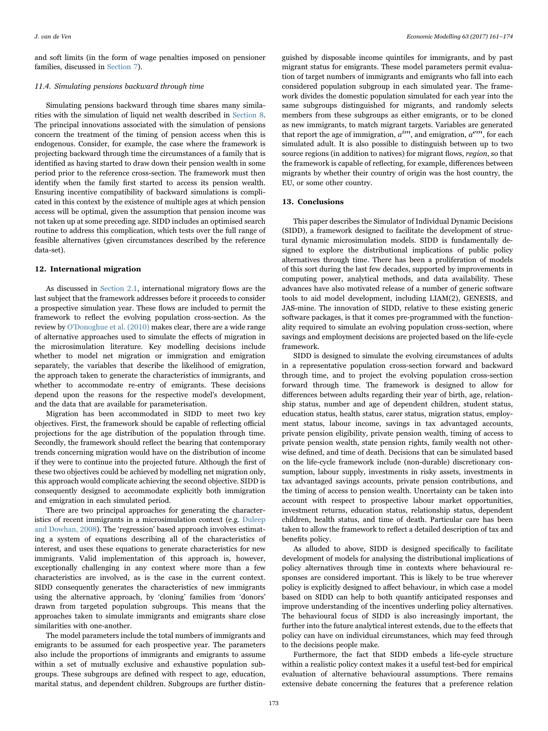and soft limits (in the form of wage penalties imposed on pensioner families, discussed in [Section 7\)](#page-8-0).

#### 11.4. Simulating pensions backward through time

Simulating pensions backward through time shares many similarities with the simulation of liquid net wealth described in [Section 8.](#page-8-1) The principal innovations associated with the simulation of pensions concern the treatment of the timing of pension access when this is endogenous. Consider, for example, the case where the framework is projecting backward through time the circumstances of a family that is identified as having started to draw down their pension wealth in some period prior to the reference cross-section. The framework must then identify when the family first started to access its pension wealth. Ensuring incentive compatibility of backward simulations is complicated in this context by the existence of multiple ages at which pension access will be optimal, given the assumption that pension income was not taken up at some preceding age. SIDD includes an optimised search routine to address this complication, which tests over the full range of feasible alternatives (given circumstances described by the reference data-set).

#### 12. International migration

As discussed in [Section 2.1](#page-1-4), international migratory flows are the last subject that the framework addresses before it proceeds to consider a prospective simulation year. These flows are included to permit the framework to reflect the evolving population cross-section. As the review by [O'Donoghue et al. \(2010\)](#page-13-34) makes clear, there are a wide range of alternative approaches used to simulate the effects of migration in the microsimulation literature. Key modelling decisions include whether to model net migration or immigration and emigration separately, the variables that describe the likelihood of emigration, the approach taken to generate the characteristics of immigrants, and whether to accommodate re-entry of emigrants. These decisions depend upon the reasons for the respective model's development, and the data that are available for parameterisation.

Migration has been accommodated in SIDD to meet two key objectives. First, the framework should be capable of reflecting official projections for the age distribution of the population through time. Secondly, the framework should reflect the bearing that contemporary trends concerning migration would have on the distribution of income if they were to continue into the projected future. Although the first of these two objectives could be achieved by modelling net migration only, this approach would complicate achieving the second objective. SIDD is consequently designed to accommodate explicitly both immigration and emigration in each simulated period.

There are two principal approaches for generating the characteristics of recent immigrants in a microsimulation context (e.g. [Duleep](#page-13-35) [and Dowhan, 2008](#page-13-35)). The 'regression' based approach involves estimating a system of equations describing all of the characteristics of interest, and uses these equations to generate characteristics for new immigrants. Valid implementation of this approach is, however, exceptionally challenging in any context where more than a few characteristics are involved, as is the case in the current context. SIDD consequently generates the characteristics of new immigrants using the alternative approach, by 'cloning' families from 'donors' drawn from targeted population subgroups. This means that the approaches taken to simulate immigrants and emigrants share close similarities with one-another.

The model parameters include the total numbers of immigrants and emigrants to be assumed for each prospective year. The parameters also include the proportions of immigrants and emigrants to assume within a set of mutually exclusive and exhaustive population subgroups. These subgroups are defined with respect to age, education, marital status, and dependent children. Subgroups are further distin-

guished by disposable income quintiles for immigrants, and by past migrant status for emigrants. These model parameters permit evaluation of target numbers of immigrants and emigrants who fall into each considered population subgroup in each simulated year. The framework divides the domestic population simulated for each year into the same subgroups distinguished for migrants, and randomly selects members from these subgroups as either emigrants, or to be cloned as new immigrants, to match migrant targets. Variables are generated that report the age of immigration,  $a^{im}$ , and emigration,  $a^{em}$ , for each simulated adult. It is also possible to distinguish between up to two source regions (in addition to natives) for migrant flows, region, so that the framework is capable of reflecting, for example, differences between migrants by whether their country of origin was the host country, the EU, or some other country.

### <span id="page-12-0"></span>13. Conclusions

This paper describes the Simulator of Individual Dynamic Decisions (SIDD), a framework designed to facilitate the development of structural dynamic microsimulation models. SIDD is fundamentally designed to explore the distributional implications of public policy alternatives through time. There has been a proliferation of models of this sort during the last few decades, supported by improvements in computing power, analytical methods, and data availability. These advances have also motivated release of a number of generic software tools to aid model development, including LIAM(2), GENESIS, and JAS-mine. The innovation of SIDD, relative to these existing generic software packages, is that it comes pre-programmed with the functionality required to simulate an evolving population cross-section, where savings and employment decisions are projected based on the life-cycle framework.

SIDD is designed to simulate the evolving circumstances of adults in a representative population cross-section forward and backward through time, and to project the evolving population cross-section forward through time. The framework is designed to allow for differences between adults regarding their year of birth, age, relationship status, number and age of dependent children, student status, education status, health status, carer status, migration status, employment status, labour income, savings in tax advantaged accounts, private pension eligibility, private pension wealth, timing of access to private pension wealth, state pension rights, family wealth not otherwise defined, and time of death. Decisions that can be simulated based on the life-cycle framework include (non-durable) discretionary consumption, labour supply, investments in risky assets, investments in tax advantaged savings accounts, private pension contributions, and the timing of access to pension wealth. Uncertainty can be taken into account with respect to prospective labour market opportunities, investment returns, education status, relationship status, dependent children, health status, and time of death. Particular care has been taken to allow the framework to reflect a detailed description of tax and benefits policy.

As alluded to above, SIDD is designed specifically to facilitate development of models for analysing the distributional implications of policy alternatives through time in contexts where behavioural responses are considered important. This is likely to be true wherever policy is explicitly designed to affect behaviour, in which case a model based on SIDD can help to both quantify anticipated responses and improve understanding of the incentives underling policy alternatives. The behavioural focus of SIDD is also increasingly important, the further into the future analytical interest extends, due to the effects that policy can have on individual circumstances, which may feed through to the decisions people make.

Furthermore, the fact that SIDD embeds a life-cycle structure within a realistic policy context makes it a useful test-bed for empirical evaluation of alternative behavioural assumptions. There remains extensive debate concerning the features that a preference relation